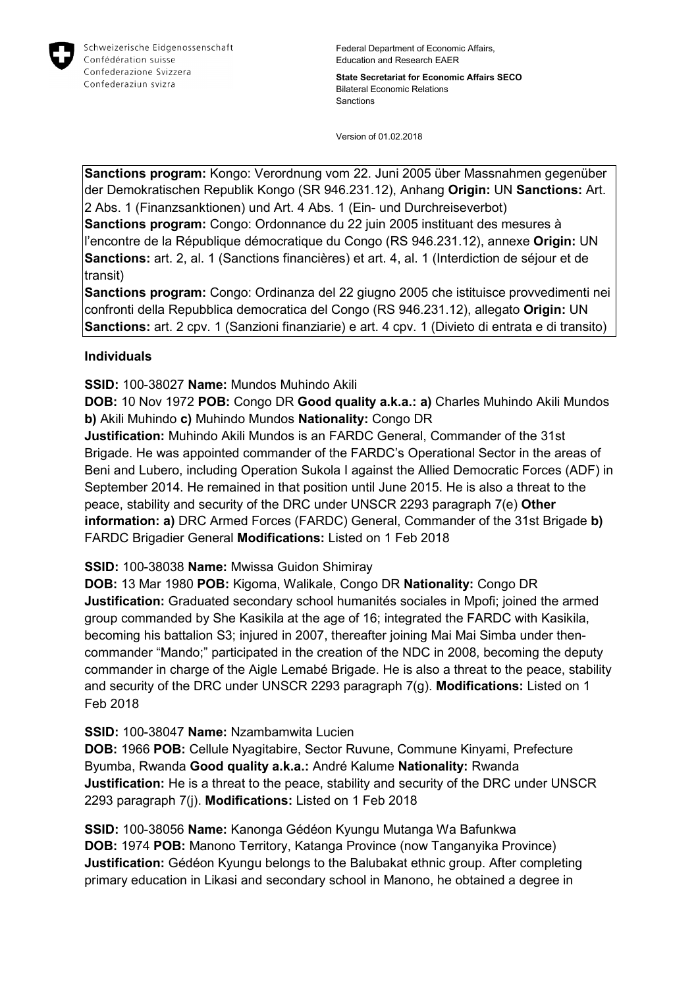

**State Secretariat for Economic Affairs SECO** Bilateral Economic Relations Sanctions

Version of 01.02.2018

**Sanctions program:** Kongo: Verordnung vom 22. Juni 2005 über Massnahmen gegenüber der Demokratischen Republik Kongo (SR 946.231.12), Anhang **Origin:** UN **Sanctions:** Art. 2 Abs. 1 (Finanzsanktionen) und Art. 4 Abs. 1 (Ein- und Durchreiseverbot)

**Sanctions program:** Congo: Ordonnance du 22 juin 2005 instituant des mesures à l'encontre de la République démocratique du Congo (RS 946.231.12), annexe **Origin:** UN **Sanctions:** art. 2, al. 1 (Sanctions financières) et art. 4, al. 1 (Interdiction de séjour et de transit)

**Sanctions program:** Congo: Ordinanza del 22 giugno 2005 che istituisce provvedimenti nei confronti della Repubblica democratica del Congo (RS 946.231.12), allegato **Origin:** UN **Sanctions:** art. 2 cpv. 1 (Sanzioni finanziarie) e art. 4 cpv. 1 (Divieto di entrata e di transito)

## **Individuals**

**SSID:** 100-38027 **Name:** Mundos Muhindo Akili

**DOB:** 10 Nov 1972 **POB:** Congo DR **Good quality a.k.a.: a)** Charles Muhindo Akili Mundos **b)** Akili Muhindo **c)** Muhindo Mundos **Nationality:** Congo DR

**Justification:** Muhindo Akili Mundos is an FARDC General, Commander of the 31st Brigade. He was appointed commander of the FARDC's Operational Sector in the areas of Beni and Lubero, including Operation Sukola I against the Allied Democratic Forces (ADF) in September 2014. He remained in that position until June 2015. He is also a threat to the peace, stability and security of the DRC under UNSCR 2293 paragraph 7(e) **Other information: a)** DRC Armed Forces (FARDC) General, Commander of the 31st Brigade **b)**  FARDC Brigadier General **Modifications:** Listed on 1 Feb 2018

**SSID:** 100-38038 **Name:** Mwissa Guidon Shimiray

**DOB:** 13 Mar 1980 **POB:** Kigoma, Walikale, Congo DR **Nationality:** Congo DR **Justification:** Graduated secondary school humanités sociales in Mpofi; joined the armed group commanded by She Kasikila at the age of 16; integrated the FARDC with Kasikila, becoming his battalion S3; injured in 2007, thereafter joining Mai Mai Simba under thencommander "Mando;" participated in the creation of the NDC in 2008, becoming the deputy commander in charge of the Aigle Lemabé Brigade. He is also a threat to the peace, stability and security of the DRC under UNSCR 2293 paragraph 7(g). **Modifications:** Listed on 1 Feb 2018

**SSID:** 100-38047 **Name:** Nzambamwita Lucien

**DOB:** 1966 **POB:** Cellule Nyagitabire, Sector Ruvune, Commune Kinyami, Prefecture Byumba, Rwanda **Good quality a.k.a.:** André Kalume **Nationality:** Rwanda **Justification:** He is a threat to the peace, stability and security of the DRC under UNSCR 2293 paragraph 7(j). **Modifications:** Listed on 1 Feb 2018

**SSID:** 100-38056 **Name:** Kanonga Gédéon Kyungu Mutanga Wa Bafunkwa **DOB:** 1974 **POB:** Manono Territory, Katanga Province (now Tanganyika Province) **Justification:** Gédéon Kyungu belongs to the Balubakat ethnic group. After completing primary education in Likasi and secondary school in Manono, he obtained a degree in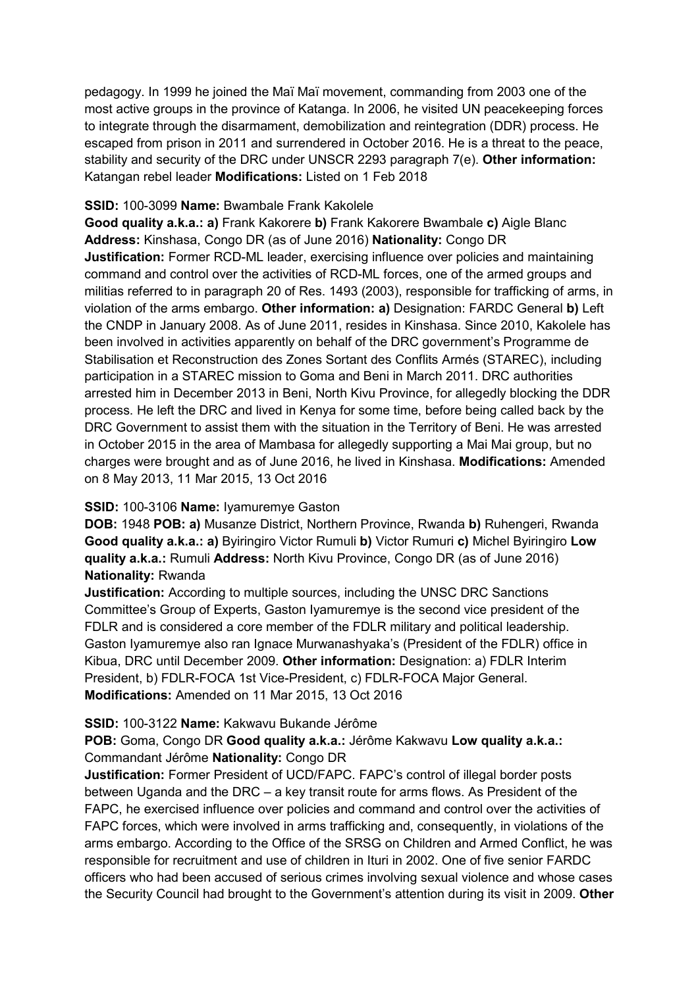pedagogy. In 1999 he joined the Maï Maï movement, commanding from 2003 one of the most active groups in the province of Katanga. In 2006, he visited UN peacekeeping forces to integrate through the disarmament, demobilization and reintegration (DDR) process. He escaped from prison in 2011 and surrendered in October 2016. He is a threat to the peace, stability and security of the DRC under UNSCR 2293 paragraph 7(e). **Other information:** Katangan rebel leader **Modifications:** Listed on 1 Feb 2018

#### **SSID:** 100-3099 **Name:** Bwambale Frank Kakolele

**Good quality a.k.a.: a)** Frank Kakorere **b)** Frank Kakorere Bwambale **c)** Aigle Blanc **Address:** Kinshasa, Congo DR (as of June 2016) **Nationality:** Congo DR **Justification:** Former RCD-ML leader, exercising influence over policies and maintaining command and control over the activities of RCD-ML forces, one of the armed groups and militias referred to in paragraph 20 of Res. 1493 (2003), responsible for trafficking of arms, in violation of the arms embargo. **Other information: a)** Designation: FARDC General **b)** Left the CNDP in January 2008. As of June 2011, resides in Kinshasa. Since 2010, Kakolele has been involved in activities apparently on behalf of the DRC government's Programme de Stabilisation et Reconstruction des Zones Sortant des Conflits Armés (STAREC), including participation in a STAREC mission to Goma and Beni in March 2011. DRC authorities arrested him in December 2013 in Beni, North Kivu Province, for allegedly blocking the DDR process. He left the DRC and lived in Kenya for some time, before being called back by the DRC Government to assist them with the situation in the Territory of Beni. He was arrested in October 2015 in the area of Mambasa for allegedly supporting a Mai Mai group, but no charges were brought and as of June 2016, he lived in Kinshasa. **Modifications:** Amended on 8 May 2013, 11 Mar 2015, 13 Oct 2016

## **SSID:** 100-3106 **Name:** Iyamuremye Gaston

**DOB:** 1948 **POB: a)** Musanze District, Northern Province, Rwanda **b)** Ruhengeri, Rwanda **Good quality a.k.a.: a)** Byiringiro Victor Rumuli **b)** Victor Rumuri **c)** Michel Byiringiro **Low quality a.k.a.:** Rumuli **Address:** North Kivu Province, Congo DR (as of June 2016) **Nationality:** Rwanda

**Justification:** According to multiple sources, including the UNSC DRC Sanctions Committee's Group of Experts, Gaston Iyamuremye is the second vice president of the FDLR and is considered a core member of the FDLR military and political leadership. Gaston Iyamuremye also ran Ignace Murwanashyaka's (President of the FDLR) office in Kibua, DRC until December 2009. **Other information:** Designation: a) FDLR Interim President, b) FDLR-FOCA 1st Vice-President, c) FDLR-FOCA Major General. **Modifications:** Amended on 11 Mar 2015, 13 Oct 2016

## **SSID:** 100-3122 **Name:** Kakwavu Bukande Jérôme

## **POB:** Goma, Congo DR **Good quality a.k.a.:** Jérôme Kakwavu **Low quality a.k.a.:**  Commandant Jérôme **Nationality:** Congo DR

**Justification:** Former President of UCD/FAPC. FAPC's control of illegal border posts between Uganda and the DRC – a key transit route for arms flows. As President of the FAPC, he exercised influence over policies and command and control over the activities of FAPC forces, which were involved in arms trafficking and, consequently, in violations of the arms embargo. According to the Office of the SRSG on Children and Armed Conflict, he was responsible for recruitment and use of children in Ituri in 2002. One of five senior FARDC officers who had been accused of serious crimes involving sexual violence and whose cases the Security Council had brought to the Government's attention during its visit in 2009. **Other**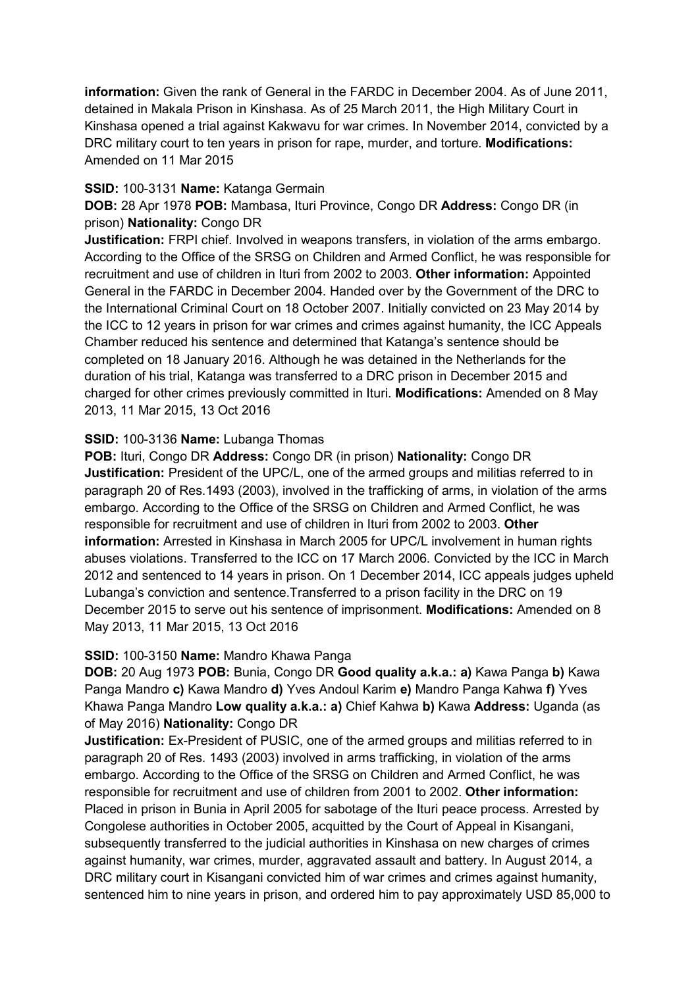**information:** Given the rank of General in the FARDC in December 2004. As of June 2011, detained in Makala Prison in Kinshasa. As of 25 March 2011, the High Military Court in Kinshasa opened a trial against Kakwavu for war crimes. In November 2014, convicted by a DRC military court to ten years in prison for rape, murder, and torture. **Modifications:**  Amended on 11 Mar 2015

## **SSID:** 100-3131 **Name:** Katanga Germain

**DOB:** 28 Apr 1978 **POB:** Mambasa, Ituri Province, Congo DR **Address:** Congo DR (in prison) **Nationality:** Congo DR

**Justification:** FRPI chief. Involved in weapons transfers, in violation of the arms embargo. According to the Office of the SRSG on Children and Armed Conflict, he was responsible for recruitment and use of children in Ituri from 2002 to 2003. **Other information:** Appointed General in the FARDC in December 2004. Handed over by the Government of the DRC to the International Criminal Court on 18 October 2007. Initially convicted on 23 May 2014 by the ICC to 12 years in prison for war crimes and crimes against humanity, the ICC Appeals Chamber reduced his sentence and determined that Katanga's sentence should be completed on 18 January 2016. Although he was detained in the Netherlands for the duration of his trial, Katanga was transferred to a DRC prison in December 2015 and charged for other crimes previously committed in Ituri. **Modifications:** Amended on 8 May 2013, 11 Mar 2015, 13 Oct 2016

## **SSID:** 100-3136 **Name:** Lubanga Thomas

**POB:** Ituri, Congo DR **Address:** Congo DR (in prison) **Nationality:** Congo DR **Justification:** President of the UPC/L, one of the armed groups and militias referred to in paragraph 20 of Res.1493 (2003), involved in the trafficking of arms, in violation of the arms embargo. According to the Office of the SRSG on Children and Armed Conflict, he was responsible for recruitment and use of children in Ituri from 2002 to 2003. **Other information:** Arrested in Kinshasa in March 2005 for UPC/L involvement in human rights abuses violations. Transferred to the ICC on 17 March 2006. Convicted by the ICC in March 2012 and sentenced to 14 years in prison. On 1 December 2014, ICC appeals judges upheld Lubanga's conviction and sentence.Transferred to a prison facility in the DRC on 19 December 2015 to serve out his sentence of imprisonment. **Modifications:** Amended on 8 May 2013, 11 Mar 2015, 13 Oct 2016

## **SSID:** 100-3150 **Name:** Mandro Khawa Panga

**DOB:** 20 Aug 1973 **POB:** Bunia, Congo DR **Good quality a.k.a.: a)** Kawa Panga **b)** Kawa Panga Mandro **c)** Kawa Mandro **d)** Yves Andoul Karim **e)** Mandro Panga Kahwa **f)** Yves Khawa Panga Mandro **Low quality a.k.a.: a)** Chief Kahwa **b)** Kawa **Address:** Uganda (as of May 2016) **Nationality:** Congo DR

**Justification:** Ex-President of PUSIC, one of the armed groups and militias referred to in paragraph 20 of Res. 1493 (2003) involved in arms trafficking, in violation of the arms embargo. According to the Office of the SRSG on Children and Armed Conflict, he was responsible for recruitment and use of children from 2001 to 2002. **Other information:** Placed in prison in Bunia in April 2005 for sabotage of the Ituri peace process. Arrested by Congolese authorities in October 2005, acquitted by the Court of Appeal in Kisangani, subsequently transferred to the judicial authorities in Kinshasa on new charges of crimes against humanity, war crimes, murder, aggravated assault and battery. In August 2014, a DRC military court in Kisangani convicted him of war crimes and crimes against humanity, sentenced him to nine years in prison, and ordered him to pay approximately USD 85,000 to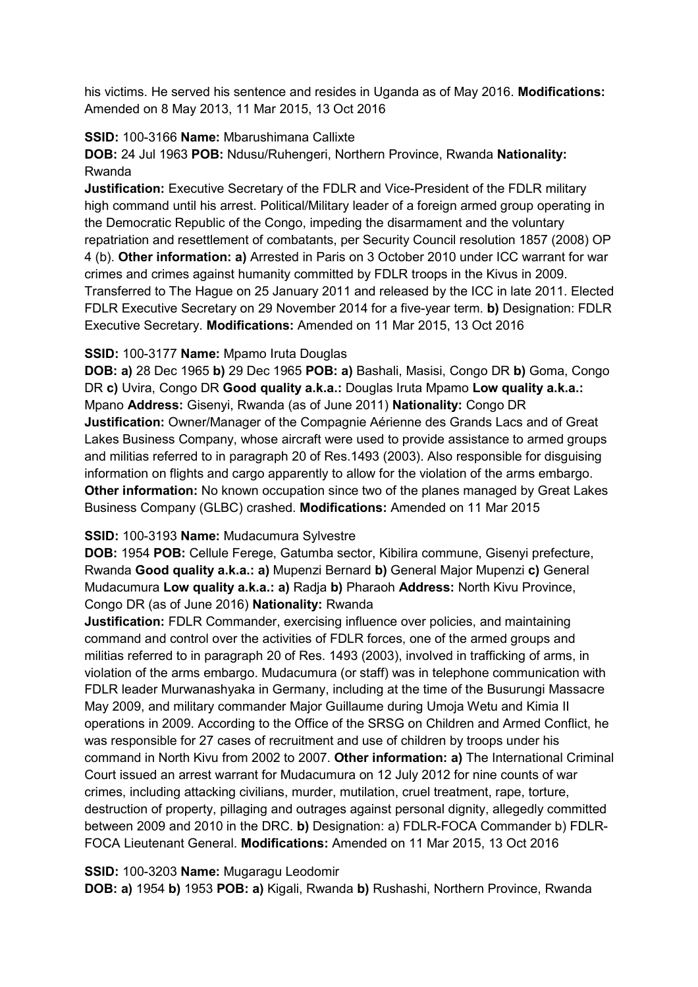his victims. He served his sentence and resides in Uganda as of May 2016. **Modifications:**  Amended on 8 May 2013, 11 Mar 2015, 13 Oct 2016

## **SSID:** 100-3166 **Name:** Mbarushimana Callixte

**DOB:** 24 Jul 1963 **POB:** Ndusu/Ruhengeri, Northern Province, Rwanda **Nationality:** Rwanda

**Justification:** Executive Secretary of the FDLR and Vice-President of the FDLR military high command until his arrest. Political/Military leader of a foreign armed group operating in the Democratic Republic of the Congo, impeding the disarmament and the voluntary repatriation and resettlement of combatants, per Security Council resolution 1857 (2008) OP 4 (b). **Other information: a)** Arrested in Paris on 3 October 2010 under ICC warrant for war crimes and crimes against humanity committed by FDLR troops in the Kivus in 2009. Transferred to The Hague on 25 January 2011 and released by the ICC in late 2011. Elected FDLR Executive Secretary on 29 November 2014 for a five-year term. **b)** Designation: FDLR Executive Secretary. **Modifications:** Amended on 11 Mar 2015, 13 Oct 2016

## **SSID:** 100-3177 **Name:** Mpamo Iruta Douglas

**DOB: a)** 28 Dec 1965 **b)** 29 Dec 1965 **POB: a)** Bashali, Masisi, Congo DR **b)** Goma, Congo DR **c)** Uvira, Congo DR **Good quality a.k.a.:** Douglas Iruta Mpamo **Low quality a.k.a.:**  Mpano **Address:** Gisenyi, Rwanda (as of June 2011) **Nationality:** Congo DR **Justification:** Owner/Manager of the Compagnie Aérienne des Grands Lacs and of Great Lakes Business Company, whose aircraft were used to provide assistance to armed groups and militias referred to in paragraph 20 of Res.1493 (2003). Also responsible for disguising information on flights and cargo apparently to allow for the violation of the arms embargo. **Other information:** No known occupation since two of the planes managed by Great Lakes Business Company (GLBC) crashed. **Modifications:** Amended on 11 Mar 2015

# **SSID:** 100-3193 **Name:** Mudacumura Sylvestre

**DOB:** 1954 **POB:** Cellule Ferege, Gatumba sector, Kibilira commune, Gisenyi prefecture, Rwanda **Good quality a.k.a.: a)** Mupenzi Bernard **b)** General Major Mupenzi **c)** General Mudacumura **Low quality a.k.a.: a)** Radja **b)** Pharaoh **Address:** North Kivu Province, Congo DR (as of June 2016) **Nationality:** Rwanda

**Justification:** FDLR Commander, exercising influence over policies, and maintaining command and control over the activities of FDLR forces, one of the armed groups and militias referred to in paragraph 20 of Res. 1493 (2003), involved in trafficking of arms, in violation of the arms embargo. Mudacumura (or staff) was in telephone communication with FDLR leader Murwanashyaka in Germany, including at the time of the Busurungi Massacre May 2009, and military commander Major Guillaume during Umoja Wetu and Kimia II operations in 2009. According to the Office of the SRSG on Children and Armed Conflict, he was responsible for 27 cases of recruitment and use of children by troops under his command in North Kivu from 2002 to 2007. **Other information: a)** The International Criminal Court issued an arrest warrant for Mudacumura on 12 July 2012 for nine counts of war crimes, including attacking civilians, murder, mutilation, cruel treatment, rape, torture, destruction of property, pillaging and outrages against personal dignity, allegedly committed between 2009 and 2010 in the DRC. **b)** Designation: a) FDLR-FOCA Commander b) FDLR-FOCA Lieutenant General. **Modifications:** Amended on 11 Mar 2015, 13 Oct 2016

**SSID:** 100-3203 **Name:** Mugaragu Leodomir

**DOB: a)** 1954 **b)** 1953 **POB: a)** Kigali, Rwanda **b)** Rushashi, Northern Province, Rwanda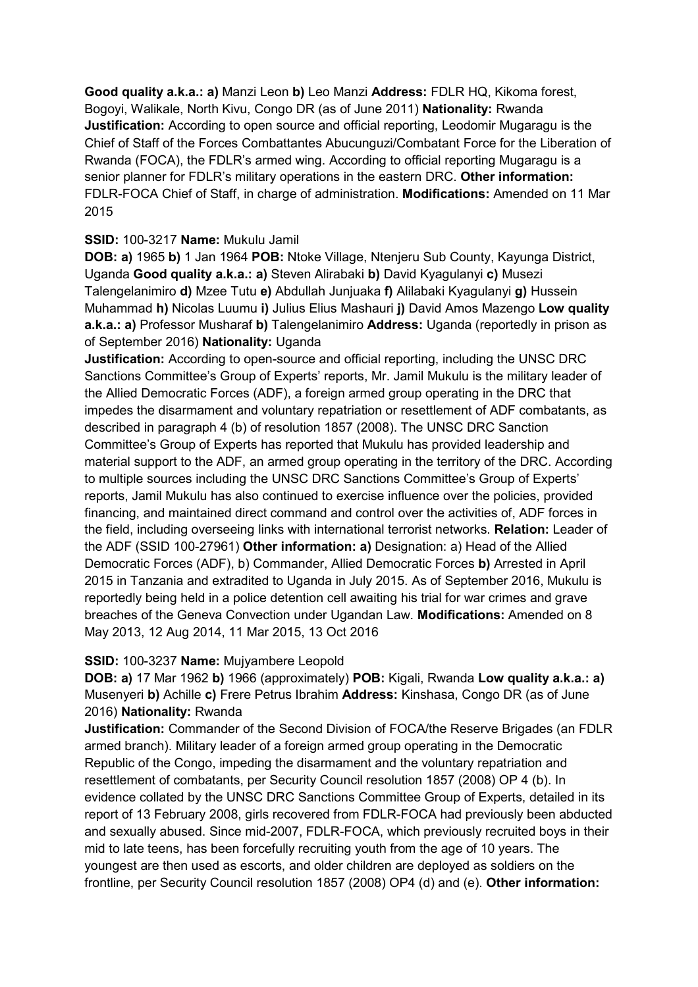**Good quality a.k.a.: a)** Manzi Leon **b)** Leo Manzi **Address:** FDLR HQ, Kikoma forest, Bogoyi, Walikale, North Kivu, Congo DR (as of June 2011) **Nationality:** Rwanda **Justification:** According to open source and official reporting, Leodomir Mugaragu is the Chief of Staff of the Forces Combattantes Abucunguzi/Combatant Force for the Liberation of Rwanda (FOCA), the FDLR's armed wing. According to official reporting Mugaragu is a senior planner for FDLR's military operations in the eastern DRC. **Other information:** FDLR-FOCA Chief of Staff, in charge of administration. **Modifications:** Amended on 11 Mar 2015

# **SSID:** 100-3217 **Name:** Mukulu Jamil

**DOB: a)** 1965 **b)** 1 Jan 1964 **POB:** Ntoke Village, Ntenjeru Sub County, Kayunga District, Uganda **Good quality a.k.a.: a)** Steven Alirabaki **b)** David Kyagulanyi **c)** Musezi Talengelanimiro **d)** Mzee Tutu **e)** Abdullah Junjuaka **f)** Alilabaki Kyagulanyi **g)** Hussein Muhammad **h)** Nicolas Luumu **i)** Julius Elius Mashauri **j)** David Amos Mazengo **Low quality a.k.a.: a)** Professor Musharaf **b)** Talengelanimiro **Address:** Uganda (reportedly in prison as of September 2016) **Nationality:** Uganda

**Justification:** According to open-source and official reporting, including the UNSC DRC Sanctions Committee's Group of Experts' reports, Mr. Jamil Mukulu is the military leader of the Allied Democratic Forces (ADF), a foreign armed group operating in the DRC that impedes the disarmament and voluntary repatriation or resettlement of ADF combatants, as described in paragraph 4 (b) of resolution 1857 (2008). The UNSC DRC Sanction Committee's Group of Experts has reported that Mukulu has provided leadership and material support to the ADF, an armed group operating in the territory of the DRC. According to multiple sources including the UNSC DRC Sanctions Committee's Group of Experts' reports, Jamil Mukulu has also continued to exercise influence over the policies, provided financing, and maintained direct command and control over the activities of, ADF forces in the field, including overseeing links with international terrorist networks. **Relation:** Leader of the ADF (SSID 100-27961) **Other information: a)** Designation: a) Head of the Allied Democratic Forces (ADF), b) Commander, Allied Democratic Forces **b)** Arrested in April 2015 in Tanzania and extradited to Uganda in July 2015. As of September 2016, Mukulu is reportedly being held in a police detention cell awaiting his trial for war crimes and grave breaches of the Geneva Convection under Ugandan Law. **Modifications:** Amended on 8 May 2013, 12 Aug 2014, 11 Mar 2015, 13 Oct 2016

## **SSID:** 100-3237 **Name:** Mujyambere Leopold

**DOB: a)** 17 Mar 1962 **b)** 1966 (approximately) **POB:** Kigali, Rwanda **Low quality a.k.a.: a)**  Musenyeri **b)** Achille **c)** Frere Petrus Ibrahim **Address:** Kinshasa, Congo DR (as of June 2016) **Nationality:** Rwanda

**Justification:** Commander of the Second Division of FOCA/the Reserve Brigades (an FDLR armed branch). Military leader of a foreign armed group operating in the Democratic Republic of the Congo, impeding the disarmament and the voluntary repatriation and resettlement of combatants, per Security Council resolution 1857 (2008) OP 4 (b). In evidence collated by the UNSC DRC Sanctions Committee Group of Experts, detailed in its report of 13 February 2008, girls recovered from FDLR-FOCA had previously been abducted and sexually abused. Since mid-2007, FDLR-FOCA, which previously recruited boys in their mid to late teens, has been forcefully recruiting youth from the age of 10 years. The youngest are then used as escorts, and older children are deployed as soldiers on the frontline, per Security Council resolution 1857 (2008) OP4 (d) and (e). **Other information:**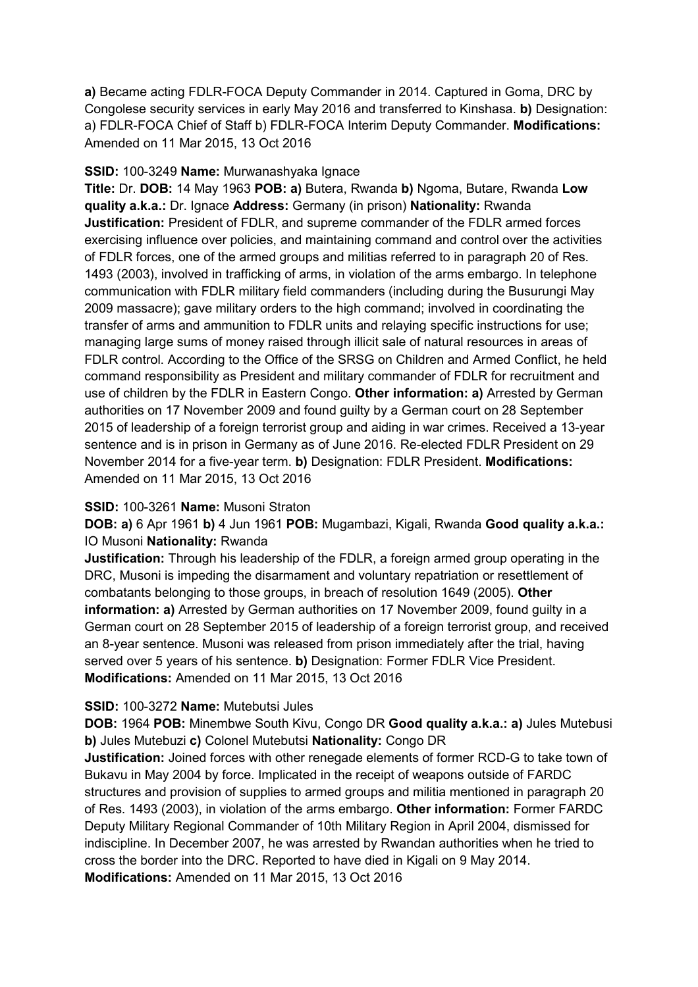**a)** Became acting FDLR-FOCA Deputy Commander in 2014. Captured in Goma, DRC by Congolese security services in early May 2016 and transferred to Kinshasa. **b)** Designation: a) FDLR-FOCA Chief of Staff b) FDLR-FOCA Interim Deputy Commander. **Modifications:**  Amended on 11 Mar 2015, 13 Oct 2016

## **SSID:** 100-3249 **Name:** Murwanashyaka Ignace

**Title:** Dr. **DOB:** 14 May 1963 **POB: a)** Butera, Rwanda **b)** Ngoma, Butare, Rwanda **Low quality a.k.a.:** Dr. Ignace **Address:** Germany (in prison) **Nationality:** Rwanda **Justification:** President of FDLR, and supreme commander of the FDLR armed forces exercising influence over policies, and maintaining command and control over the activities of FDLR forces, one of the armed groups and militias referred to in paragraph 20 of Res. 1493 (2003), involved in trafficking of arms, in violation of the arms embargo. In telephone communication with FDLR military field commanders (including during the Busurungi May 2009 massacre); gave military orders to the high command; involved in coordinating the transfer of arms and ammunition to FDLR units and relaying specific instructions for use; managing large sums of money raised through illicit sale of natural resources in areas of FDLR control. According to the Office of the SRSG on Children and Armed Conflict, he held command responsibility as President and military commander of FDLR for recruitment and use of children by the FDLR in Eastern Congo. **Other information: a)** Arrested by German authorities on 17 November 2009 and found guilty by a German court on 28 September 2015 of leadership of a foreign terrorist group and aiding in war crimes. Received a 13-year sentence and is in prison in Germany as of June 2016. Re-elected FDLR President on 29 November 2014 for a five-year term. **b)** Designation: FDLR President. **Modifications:**  Amended on 11 Mar 2015, 13 Oct 2016

## **SSID:** 100-3261 **Name:** Musoni Straton

**DOB: a)** 6 Apr 1961 **b)** 4 Jun 1961 **POB:** Mugambazi, Kigali, Rwanda **Good quality a.k.a.:**  IO Musoni **Nationality:** Rwanda

**Justification:** Through his leadership of the FDLR, a foreign armed group operating in the DRC, Musoni is impeding the disarmament and voluntary repatriation or resettlement of combatants belonging to those groups, in breach of resolution 1649 (2005). **Other information: a)** Arrested by German authorities on 17 November 2009, found guilty in a German court on 28 September 2015 of leadership of a foreign terrorist group, and received an 8-year sentence. Musoni was released from prison immediately after the trial, having served over 5 years of his sentence. **b)** Designation: Former FDLR Vice President. **Modifications:** Amended on 11 Mar 2015, 13 Oct 2016

## **SSID:** 100-3272 **Name:** Mutebutsi Jules

**DOB:** 1964 **POB:** Minembwe South Kivu, Congo DR **Good quality a.k.a.: a)** Jules Mutebusi **b)** Jules Mutebuzi **c)** Colonel Mutebutsi **Nationality:** Congo DR

**Justification:** Joined forces with other renegade elements of former RCD-G to take town of Bukavu in May 2004 by force. Implicated in the receipt of weapons outside of FARDC structures and provision of supplies to armed groups and militia mentioned in paragraph 20 of Res. 1493 (2003), in violation of the arms embargo. **Other information:** Former FARDC Deputy Military Regional Commander of 10th Military Region in April 2004, dismissed for indiscipline. In December 2007, he was arrested by Rwandan authorities when he tried to cross the border into the DRC. Reported to have died in Kigali on 9 May 2014. **Modifications:** Amended on 11 Mar 2015, 13 Oct 2016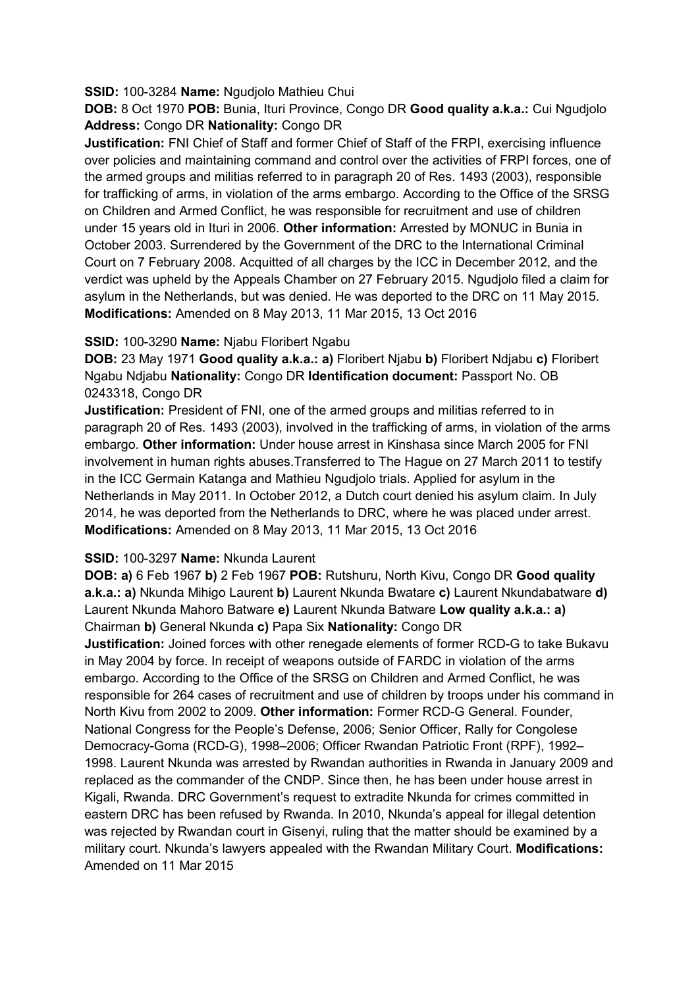## **SSID:** 100-3284 **Name:** Ngudjolo Mathieu Chui

**DOB:** 8 Oct 1970 **POB:** Bunia, Ituri Province, Congo DR **Good quality a.k.a.:** Cui Ngudjolo **Address:** Congo DR **Nationality:** Congo DR

**Justification:** FNI Chief of Staff and former Chief of Staff of the FRPI, exercising influence over policies and maintaining command and control over the activities of FRPI forces, one of the armed groups and militias referred to in paragraph 20 of Res. 1493 (2003), responsible for trafficking of arms, in violation of the arms embargo. According to the Office of the SRSG on Children and Armed Conflict, he was responsible for recruitment and use of children under 15 years old in Ituri in 2006. **Other information:** Arrested by MONUC in Bunia in October 2003. Surrendered by the Government of the DRC to the International Criminal Court on 7 February 2008. Acquitted of all charges by the ICC in December 2012, and the verdict was upheld by the Appeals Chamber on 27 February 2015. Ngudjolo filed a claim for asylum in the Netherlands, but was denied. He was deported to the DRC on 11 May 2015. **Modifications:** Amended on 8 May 2013, 11 Mar 2015, 13 Oct 2016

## **SSID:** 100-3290 **Name:** Njabu Floribert Ngabu

**DOB:** 23 May 1971 **Good quality a.k.a.: a)** Floribert Njabu **b)** Floribert Ndjabu **c)** Floribert Ngabu Ndjabu **Nationality:** Congo DR **Identification document:** Passport No. OB 0243318, Congo DR

**Justification:** President of FNI, one of the armed groups and militias referred to in paragraph 20 of Res. 1493 (2003), involved in the trafficking of arms, in violation of the arms embargo. **Other information:** Under house arrest in Kinshasa since March 2005 for FNI involvement in human rights abuses.Transferred to The Hague on 27 March 2011 to testify in the ICC Germain Katanga and Mathieu Ngudjolo trials. Applied for asylum in the Netherlands in May 2011. In October 2012, a Dutch court denied his asylum claim. In July 2014, he was deported from the Netherlands to DRC, where he was placed under arrest. **Modifications:** Amended on 8 May 2013, 11 Mar 2015, 13 Oct 2016

## **SSID:** 100-3297 **Name:** Nkunda Laurent

**DOB: a)** 6 Feb 1967 **b)** 2 Feb 1967 **POB:** Rutshuru, North Kivu, Congo DR **Good quality a.k.a.: a)** Nkunda Mihigo Laurent **b)** Laurent Nkunda Bwatare **c)** Laurent Nkundabatware **d)**  Laurent Nkunda Mahoro Batware **e)** Laurent Nkunda Batware **Low quality a.k.a.: a)**  Chairman **b)** General Nkunda **c)** Papa Six **Nationality:** Congo DR

**Justification:** Joined forces with other renegade elements of former RCD-G to take Bukavu in May 2004 by force. In receipt of weapons outside of FARDC in violation of the arms embargo. According to the Office of the SRSG on Children and Armed Conflict, he was responsible for 264 cases of recruitment and use of children by troops under his command in North Kivu from 2002 to 2009. **Other information:** Former RCD-G General. Founder, National Congress for the People's Defense, 2006; Senior Officer, Rally for Congolese Democracy-Goma (RCD-G), 1998–2006; Officer Rwandan Patriotic Front (RPF), 1992– 1998. Laurent Nkunda was arrested by Rwandan authorities in Rwanda in January 2009 and replaced as the commander of the CNDP. Since then, he has been under house arrest in Kigali, Rwanda. DRC Government's request to extradite Nkunda for crimes committed in eastern DRC has been refused by Rwanda. In 2010, Nkunda's appeal for illegal detention was rejected by Rwandan court in Gisenyi, ruling that the matter should be examined by a military court. Nkunda's lawyers appealed with the Rwandan Military Court. **Modifications:**  Amended on 11 Mar 2015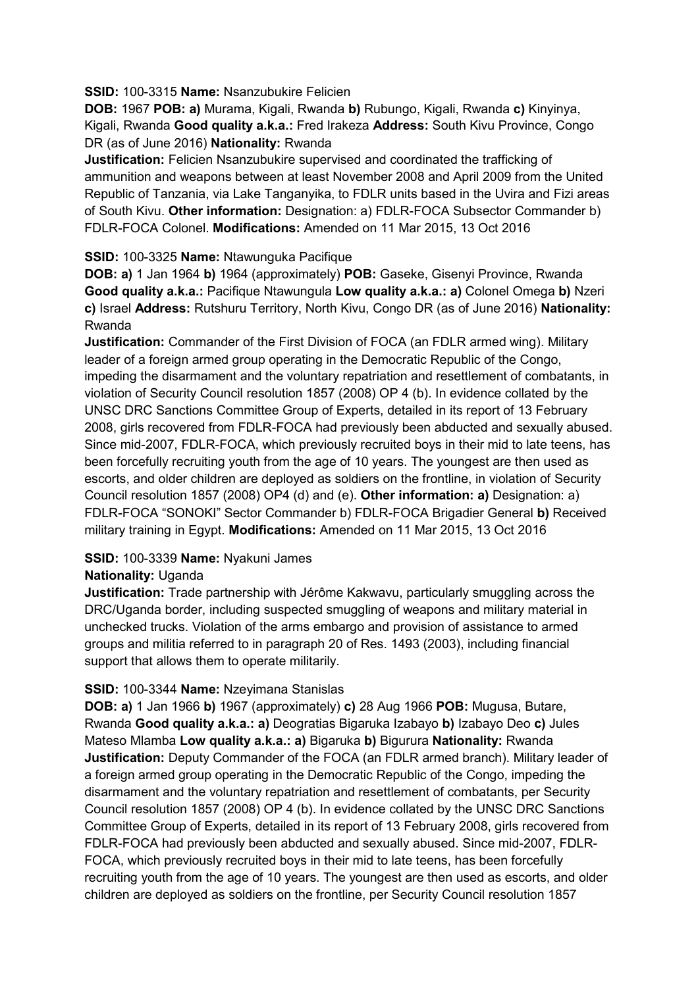## **SSID:** 100-3315 **Name:** Nsanzubukire Felicien

**DOB:** 1967 **POB: a)** Murama, Kigali, Rwanda **b)** Rubungo, Kigali, Rwanda **c)** Kinyinya, Kigali, Rwanda **Good quality a.k.a.:** Fred Irakeza **Address:** South Kivu Province, Congo DR (as of June 2016) **Nationality:** Rwanda

**Justification:** Felicien Nsanzubukire supervised and coordinated the trafficking of ammunition and weapons between at least November 2008 and April 2009 from the United Republic of Tanzania, via Lake Tanganyika, to FDLR units based in the Uvira and Fizi areas of South Kivu. **Other information:** Designation: a) FDLR-FOCA Subsector Commander b) FDLR-FOCA Colonel. **Modifications:** Amended on 11 Mar 2015, 13 Oct 2016

# **SSID:** 100-3325 **Name:** Ntawunguka Pacifique

**DOB: a)** 1 Jan 1964 **b)** 1964 (approximately) **POB:** Gaseke, Gisenyi Province, Rwanda **Good quality a.k.a.:** Pacifique Ntawungula **Low quality a.k.a.: a)** Colonel Omega **b)** Nzeri **c)** Israel **Address:** Rutshuru Territory, North Kivu, Congo DR (as of June 2016) **Nationality:** Rwanda

**Justification:** Commander of the First Division of FOCA (an FDLR armed wing). Military leader of a foreign armed group operating in the Democratic Republic of the Congo, impeding the disarmament and the voluntary repatriation and resettlement of combatants, in violation of Security Council resolution 1857 (2008) OP 4 (b). In evidence collated by the UNSC DRC Sanctions Committee Group of Experts, detailed in its report of 13 February 2008, girls recovered from FDLR-FOCA had previously been abducted and sexually abused. Since mid-2007, FDLR-FOCA, which previously recruited boys in their mid to late teens, has been forcefully recruiting youth from the age of 10 years. The youngest are then used as escorts, and older children are deployed as soldiers on the frontline, in violation of Security Council resolution 1857 (2008) OP4 (d) and (e). **Other information: a)** Designation: a) FDLR-FOCA "SONOKI" Sector Commander b) FDLR-FOCA Brigadier General **b)** Received military training in Egypt. **Modifications:** Amended on 11 Mar 2015, 13 Oct 2016

# **SSID:** 100-3339 **Name:** Nyakuni James

# **Nationality:** Uganda

**Justification:** Trade partnership with Jérôme Kakwavu, particularly smuggling across the DRC/Uganda border, including suspected smuggling of weapons and military material in unchecked trucks. Violation of the arms embargo and provision of assistance to armed groups and militia referred to in paragraph 20 of Res. 1493 (2003), including financial support that allows them to operate militarily.

# **SSID:** 100-3344 **Name:** Nzeyimana Stanislas

**DOB: a)** 1 Jan 1966 **b)** 1967 (approximately) **c)** 28 Aug 1966 **POB:** Mugusa, Butare, Rwanda **Good quality a.k.a.: a)** Deogratias Bigaruka Izabayo **b)** Izabayo Deo **c)** Jules Mateso Mlamba **Low quality a.k.a.: a)** Bigaruka **b)** Bigurura **Nationality:** Rwanda **Justification:** Deputy Commander of the FOCA (an FDLR armed branch). Military leader of a foreign armed group operating in the Democratic Republic of the Congo, impeding the disarmament and the voluntary repatriation and resettlement of combatants, per Security Council resolution 1857 (2008) OP 4 (b). In evidence collated by the UNSC DRC Sanctions Committee Group of Experts, detailed in its report of 13 February 2008, girls recovered from FDLR-FOCA had previously been abducted and sexually abused. Since mid-2007, FDLR-FOCA, which previously recruited boys in their mid to late teens, has been forcefully recruiting youth from the age of 10 years. The youngest are then used as escorts, and older children are deployed as soldiers on the frontline, per Security Council resolution 1857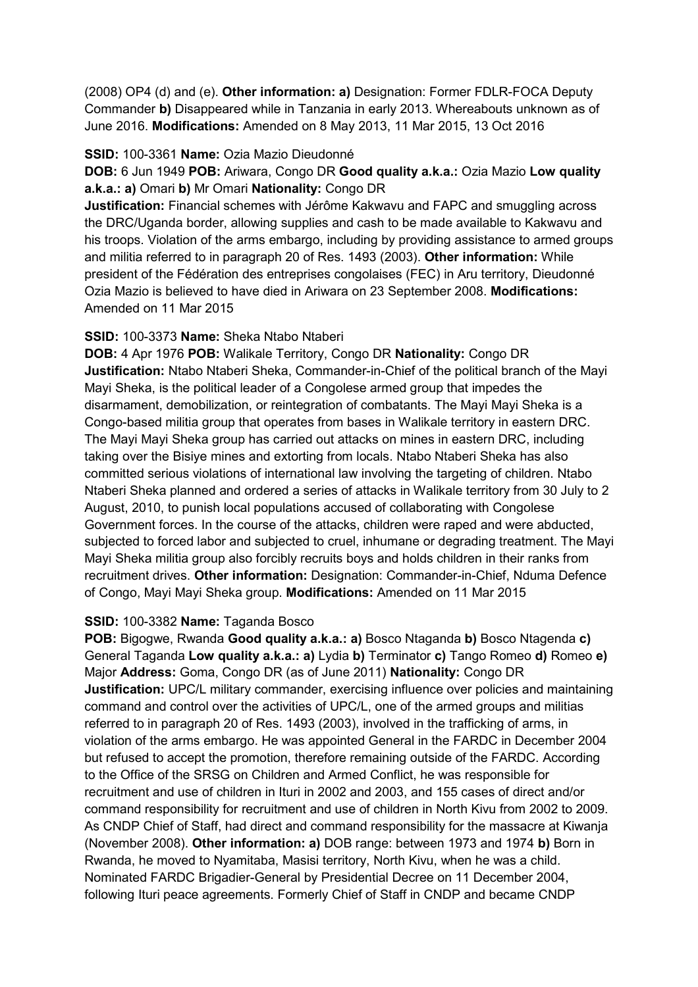(2008) OP4 (d) and (e). **Other information: a)** Designation: Former FDLR-FOCA Deputy Commander **b)** Disappeared while in Tanzania in early 2013. Whereabouts unknown as of June 2016. **Modifications:** Amended on 8 May 2013, 11 Mar 2015, 13 Oct 2016

## **SSID:** 100-3361 **Name:** Ozia Mazio Dieudonné

# **DOB:** 6 Jun 1949 **POB:** Ariwara, Congo DR **Good quality a.k.a.:** Ozia Mazio **Low quality a.k.a.: a)** Omari **b)** Mr Omari **Nationality:** Congo DR

**Justification:** Financial schemes with Jérôme Kakwavu and FAPC and smuggling across the DRC/Uganda border, allowing supplies and cash to be made available to Kakwavu and his troops. Violation of the arms embargo, including by providing assistance to armed groups and militia referred to in paragraph 20 of Res. 1493 (2003). **Other information:** While president of the Fédération des entreprises congolaises (FEC) in Aru territory, Dieudonné Ozia Mazio is believed to have died in Ariwara on 23 September 2008. **Modifications:**  Amended on 11 Mar 2015

# **SSID:** 100-3373 **Name:** Sheka Ntabo Ntaberi

**DOB:** 4 Apr 1976 **POB:** Walikale Territory, Congo DR **Nationality:** Congo DR **Justification:** Ntabo Ntaberi Sheka, Commander-in-Chief of the political branch of the Mayi Mayi Sheka, is the political leader of a Congolese armed group that impedes the disarmament, demobilization, or reintegration of combatants. The Mayi Mayi Sheka is a Congo-based militia group that operates from bases in Walikale territory in eastern DRC. The Mayi Mayi Sheka group has carried out attacks on mines in eastern DRC, including taking over the Bisiye mines and extorting from locals. Ntabo Ntaberi Sheka has also committed serious violations of international law involving the targeting of children. Ntabo Ntaberi Sheka planned and ordered a series of attacks in Walikale territory from 30 July to 2 August, 2010, to punish local populations accused of collaborating with Congolese Government forces. In the course of the attacks, children were raped and were abducted, subjected to forced labor and subjected to cruel, inhumane or degrading treatment. The Mayi Mayi Sheka militia group also forcibly recruits boys and holds children in their ranks from recruitment drives. **Other information:** Designation: Commander-in-Chief, Nduma Defence of Congo, Mayi Mayi Sheka group. **Modifications:** Amended on 11 Mar 2015

# **SSID:** 100-3382 **Name:** Taganda Bosco

**POB:** Bigogwe, Rwanda **Good quality a.k.a.: a)** Bosco Ntaganda **b)** Bosco Ntagenda **c)**  General Taganda **Low quality a.k.a.: a)** Lydia **b)** Terminator **c)** Tango Romeo **d)** Romeo **e)**  Major **Address:** Goma, Congo DR (as of June 2011) **Nationality:** Congo DR **Justification:** UPC/L military commander, exercising influence over policies and maintaining command and control over the activities of UPC/L, one of the armed groups and militias referred to in paragraph 20 of Res. 1493 (2003), involved in the trafficking of arms, in violation of the arms embargo. He was appointed General in the FARDC in December 2004 but refused to accept the promotion, therefore remaining outside of the FARDC. According to the Office of the SRSG on Children and Armed Conflict, he was responsible for recruitment and use of children in Ituri in 2002 and 2003, and 155 cases of direct and/or command responsibility for recruitment and use of children in North Kivu from 2002 to 2009. As CNDP Chief of Staff, had direct and command responsibility for the massacre at Kiwanja (November 2008). **Other information: a)** DOB range: between 1973 and 1974 **b)** Born in Rwanda, he moved to Nyamitaba, Masisi territory, North Kivu, when he was a child. Nominated FARDC Brigadier-General by Presidential Decree on 11 December 2004, following Ituri peace agreements. Formerly Chief of Staff in CNDP and became CNDP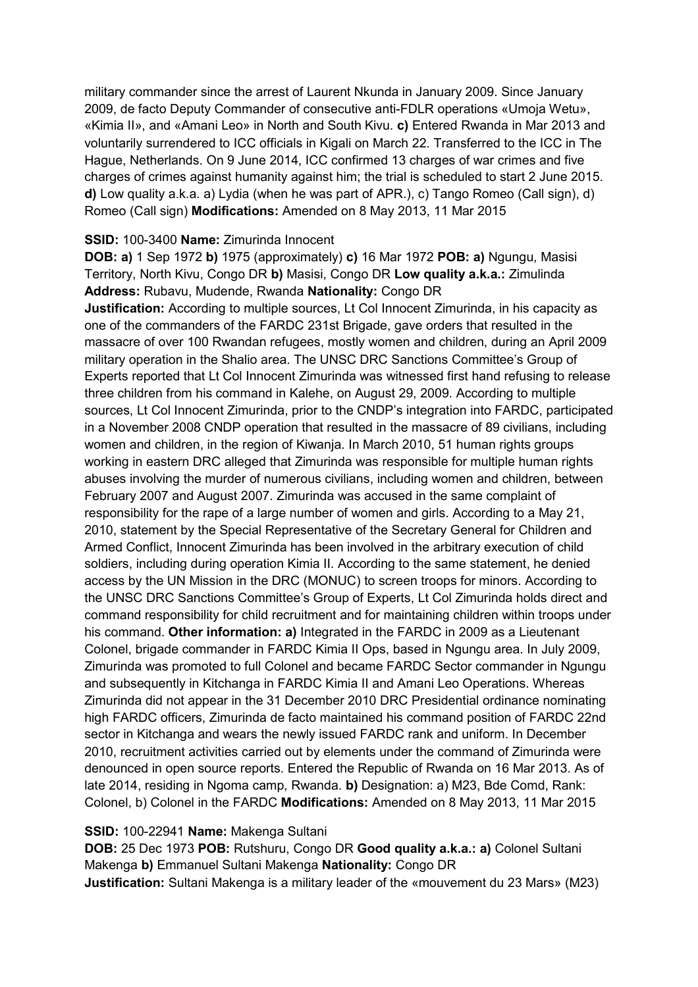military commander since the arrest of Laurent Nkunda in January 2009. Since January 2009, de facto Deputy Commander of consecutive anti-FDLR operations «Umoja Wetu», «Kimia II», and «Amani Leo» in North and South Kivu. **c)** Entered Rwanda in Mar 2013 and voluntarily surrendered to ICC officials in Kigali on March 22. Transferred to the ICC in The Hague, Netherlands. On 9 June 2014, ICC confirmed 13 charges of war crimes and five charges of crimes against humanity against him; the trial is scheduled to start 2 June 2015. **d)** Low quality a.k.a. a) Lydia (when he was part of APR.), c) Tango Romeo (Call sign), d) Romeo (Call sign) **Modifications:** Amended on 8 May 2013, 11 Mar 2015

## **SSID:** 100-3400 **Name:** Zimurinda Innocent

**DOB: a)** 1 Sep 1972 **b)** 1975 (approximately) **c)** 16 Mar 1972 **POB: a)** Ngungu, Masisi Territory, North Kivu, Congo DR **b)** Masisi, Congo DR **Low quality a.k.a.:** Zimulinda **Address:** Rubavu, Mudende, Rwanda **Nationality:** Congo DR

**Justification:** According to multiple sources, Lt Col Innocent Zimurinda, in his capacity as one of the commanders of the FARDC 231st Brigade, gave orders that resulted in the massacre of over 100 Rwandan refugees, mostly women and children, during an April 2009 military operation in the Shalio area. The UNSC DRC Sanctions Committee's Group of Experts reported that Lt Col Innocent Zimurinda was witnessed first hand refusing to release three children from his command in Kalehe, on August 29, 2009. According to multiple sources, Lt Col Innocent Zimurinda, prior to the CNDP's integration into FARDC, participated in a November 2008 CNDP operation that resulted in the massacre of 89 civilians, including women and children, in the region of Kiwanja. In March 2010, 51 human rights groups working in eastern DRC alleged that Zimurinda was responsible for multiple human rights abuses involving the murder of numerous civilians, including women and children, between February 2007 and August 2007. Zimurinda was accused in the same complaint of responsibility for the rape of a large number of women and girls. According to a May 21, 2010, statement by the Special Representative of the Secretary General for Children and Armed Conflict, Innocent Zimurinda has been involved in the arbitrary execution of child soldiers, including during operation Kimia II. According to the same statement, he denied access by the UN Mission in the DRC (MONUC) to screen troops for minors. According to the UNSC DRC Sanctions Committee's Group of Experts, Lt Col Zimurinda holds direct and command responsibility for child recruitment and for maintaining children within troops under his command. **Other information: a)** Integrated in the FARDC in 2009 as a Lieutenant Colonel, brigade commander in FARDC Kimia II Ops, based in Ngungu area. In July 2009, Zimurinda was promoted to full Colonel and became FARDC Sector commander in Ngungu and subsequently in Kitchanga in FARDC Kimia II and Amani Leo Operations. Whereas Zimurinda did not appear in the 31 December 2010 DRC Presidential ordinance nominating high FARDC officers, Zimurinda de facto maintained his command position of FARDC 22nd sector in Kitchanga and wears the newly issued FARDC rank and uniform. In December 2010, recruitment activities carried out by elements under the command of Zimurinda were denounced in open source reports. Entered the Republic of Rwanda on 16 Mar 2013. As of late 2014, residing in Ngoma camp, Rwanda. **b)** Designation: a) M23, Bde Comd, Rank: Colonel, b) Colonel in the FARDC **Modifications:** Amended on 8 May 2013, 11 Mar 2015

#### **SSID:** 100-22941 **Name:** Makenga Sultani

**DOB:** 25 Dec 1973 **POB:** Rutshuru, Congo DR **Good quality a.k.a.: a)** Colonel Sultani Makenga **b)** Emmanuel Sultani Makenga **Nationality:** Congo DR **Justification:** Sultani Makenga is a military leader of the «mouvement du 23 Mars» (M23)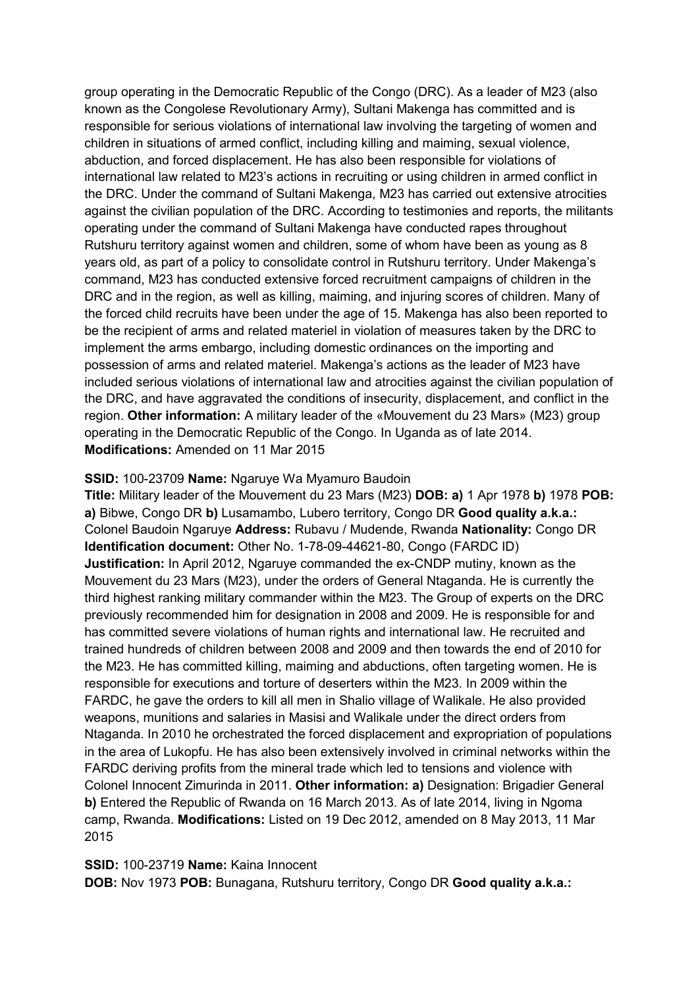group operating in the Democratic Republic of the Congo (DRC). As a leader of M23 (also known as the Congolese Revolutionary Army), Sultani Makenga has committed and is responsible for serious violations of international law involving the targeting of women and children in situations of armed conflict, including killing and maiming, sexual violence, abduction, and forced displacement. He has also been responsible for violations of international law related to M23's actions in recruiting or using children in armed conflict in the DRC. Under the command of Sultani Makenga, M23 has carried out extensive atrocities against the civilian population of the DRC. According to testimonies and reports, the militants operating under the command of Sultani Makenga have conducted rapes throughout Rutshuru territory against women and children, some of whom have been as young as 8 years old, as part of a policy to consolidate control in Rutshuru territory. Under Makenga's command, M23 has conducted extensive forced recruitment campaigns of children in the DRC and in the region, as well as killing, maiming, and injuring scores of children. Many of the forced child recruits have been under the age of 15. Makenga has also been reported to be the recipient of arms and related materiel in violation of measures taken by the DRC to implement the arms embargo, including domestic ordinances on the importing and possession of arms and related materiel. Makenga's actions as the leader of M23 have included serious violations of international law and atrocities against the civilian population of the DRC, and have aggravated the conditions of insecurity, displacement, and conflict in the region. **Other information:** A military leader of the «Mouvement du 23 Mars» (M23) group operating in the Democratic Republic of the Congo. In Uganda as of late 2014. **Modifications:** Amended on 11 Mar 2015

## **SSID:** 100-23709 **Name:** Ngaruye Wa Myamuro Baudoin

**Title:** Military leader of the Mouvement du 23 Mars (M23) **DOB: a)** 1 Apr 1978 **b)** 1978 **POB: a)** Bibwe, Congo DR **b)** Lusamambo, Lubero territory, Congo DR **Good quality a.k.a.:**  Colonel Baudoin Ngaruye **Address:** Rubavu / Mudende, Rwanda **Nationality:** Congo DR **Identification document:** Other No. 1-78-09-44621-80, Congo (FARDC ID) **Justification:** In April 2012, Ngaruye commanded the ex-CNDP mutiny, known as the Mouvement du 23 Mars (M23), under the orders of General Ntaganda. He is currently the third highest ranking military commander within the M23. The Group of experts on the DRC previously recommended him for designation in 2008 and 2009. He is responsible for and has committed severe violations of human rights and international law. He recruited and trained hundreds of children between 2008 and 2009 and then towards the end of 2010 for the M23. He has committed killing, maiming and abductions, often targeting women. He is responsible for executions and torture of deserters within the M23. In 2009 within the FARDC, he gave the orders to kill all men in Shalio village of Walikale. He also provided weapons, munitions and salaries in Masisi and Walikale under the direct orders from Ntaganda. In 2010 he orchestrated the forced displacement and expropriation of populations in the area of Lukopfu. He has also been extensively involved in criminal networks within the FARDC deriving profits from the mineral trade which led to tensions and violence with Colonel Innocent Zimurinda in 2011. **Other information: a)** Designation: Brigadier General **b)** Entered the Republic of Rwanda on 16 March 2013. As of late 2014, living in Ngoma camp, Rwanda. **Modifications:** Listed on 19 Dec 2012, amended on 8 May 2013, 11 Mar 2015

#### **SSID:** 100-23719 **Name:** Kaina Innocent

**DOB:** Nov 1973 **POB:** Bunagana, Rutshuru territory, Congo DR **Good quality a.k.a.:**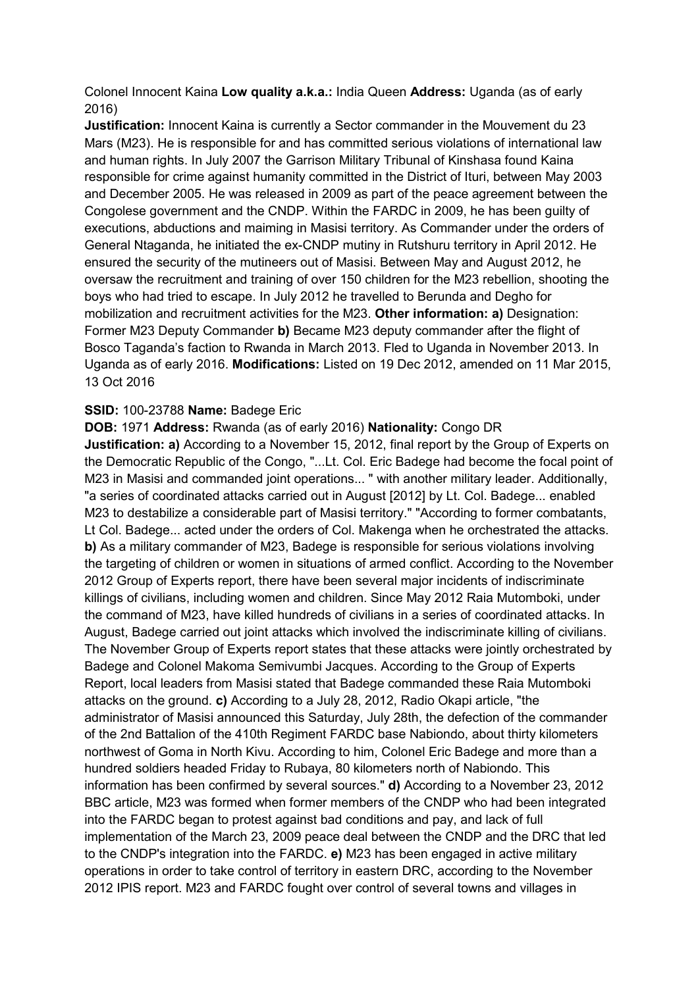Colonel Innocent Kaina **Low quality a.k.a.:** India Queen **Address:** Uganda (as of early 2016)

**Justification:** Innocent Kaina is currently a Sector commander in the Mouvement du 23 Mars (M23). He is responsible for and has committed serious violations of international law and human rights. In July 2007 the Garrison Military Tribunal of Kinshasa found Kaina responsible for crime against humanity committed in the District of Ituri, between May 2003 and December 2005. He was released in 2009 as part of the peace agreement between the Congolese government and the CNDP. Within the FARDC in 2009, he has been guilty of executions, abductions and maiming in Masisi territory. As Commander under the orders of General Ntaganda, he initiated the ex-CNDP mutiny in Rutshuru territory in April 2012. He ensured the security of the mutineers out of Masisi. Between May and August 2012, he oversaw the recruitment and training of over 150 children for the M23 rebellion, shooting the boys who had tried to escape. In July 2012 he travelled to Berunda and Degho for mobilization and recruitment activities for the M23. **Other information: a)** Designation: Former M23 Deputy Commander **b)** Became M23 deputy commander after the flight of Bosco Taganda's faction to Rwanda in March 2013. Fled to Uganda in November 2013. In Uganda as of early 2016. **Modifications:** Listed on 19 Dec 2012, amended on 11 Mar 2015, 13 Oct 2016

## **SSID:** 100-23788 **Name:** Badege Eric

**DOB:** 1971 **Address:** Rwanda (as of early 2016) **Nationality:** Congo DR **Justification: a)** According to a November 15, 2012, final report by the Group of Experts on the Democratic Republic of the Congo, "...Lt. Col. Eric Badege had become the focal point of M23 in Masisi and commanded joint operations... " with another military leader. Additionally, "a series of coordinated attacks carried out in August [2012] by Lt. Col. Badege... enabled M23 to destabilize a considerable part of Masisi territory." "According to former combatants, Lt Col. Badege... acted under the orders of Col. Makenga when he orchestrated the attacks. **b)** As a military commander of M23, Badege is responsible for serious violations involving the targeting of children or women in situations of armed conflict. According to the November 2012 Group of Experts report, there have been several major incidents of indiscriminate killings of civilians, including women and children. Since May 2012 Raia Mutomboki, under the command of M23, have killed hundreds of civilians in a series of coordinated attacks. In August, Badege carried out joint attacks which involved the indiscriminate killing of civilians. The November Group of Experts report states that these attacks were jointly orchestrated by Badege and Colonel Makoma Semivumbi Jacques. According to the Group of Experts Report, local leaders from Masisi stated that Badege commanded these Raia Mutomboki attacks on the ground. **c)** According to a July 28, 2012, Radio Okapi article, "the administrator of Masisi announced this Saturday, July 28th, the defection of the commander of the 2nd Battalion of the 410th Regiment FARDC base Nabiondo, about thirty kilometers northwest of Goma in North Kivu. According to him, Colonel Eric Badege and more than a hundred soldiers headed Friday to Rubaya, 80 kilometers north of Nabiondo. This information has been confirmed by several sources." **d)** According to a November 23, 2012 BBC article, M23 was formed when former members of the CNDP who had been integrated into the FARDC began to protest against bad conditions and pay, and lack of full implementation of the March 23, 2009 peace deal between the CNDP and the DRC that led to the CNDP's integration into the FARDC. **e)** M23 has been engaged in active military operations in order to take control of territory in eastern DRC, according to the November 2012 IPIS report. M23 and FARDC fought over control of several towns and villages in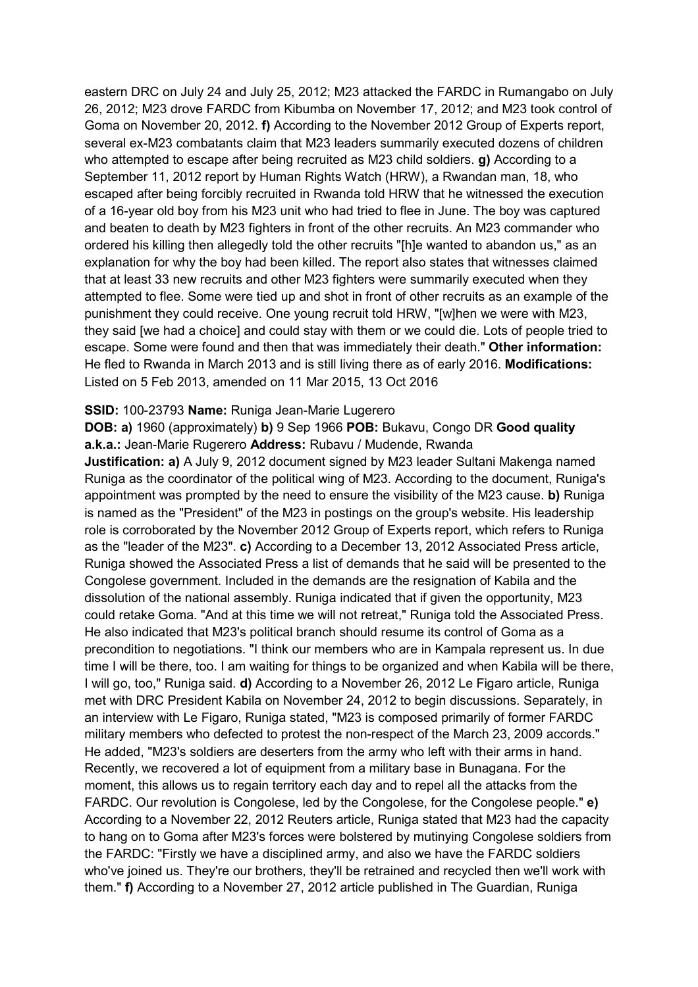eastern DRC on July 24 and July 25, 2012; M23 attacked the FARDC in Rumangabo on July 26, 2012; M23 drove FARDC from Kibumba on November 17, 2012; and M23 took control of Goma on November 20, 2012. **f)** According to the November 2012 Group of Experts report, several ex-M23 combatants claim that M23 leaders summarily executed dozens of children who attempted to escape after being recruited as M23 child soldiers. **g)** According to a September 11, 2012 report by Human Rights Watch (HRW), a Rwandan man, 18, who escaped after being forcibly recruited in Rwanda told HRW that he witnessed the execution of a 16-year old boy from his M23 unit who had tried to flee in June. The boy was captured and beaten to death by M23 fighters in front of the other recruits. An M23 commander who ordered his killing then allegedly told the other recruits "[h]e wanted to abandon us," as an explanation for why the boy had been killed. The report also states that witnesses claimed that at least 33 new recruits and other M23 fighters were summarily executed when they attempted to flee. Some were tied up and shot in front of other recruits as an example of the punishment they could receive. One young recruit told HRW, "[w]hen we were with M23, they said [we had a choice] and could stay with them or we could die. Lots of people tried to escape. Some were found and then that was immediately their death." **Other information:** He fled to Rwanda in March 2013 and is still living there as of early 2016. **Modifications:**  Listed on 5 Feb 2013, amended on 11 Mar 2015, 13 Oct 2016

#### **SSID:** 100-23793 **Name:** Runiga Jean-Marie Lugerero

**DOB: a)** 1960 (approximately) **b)** 9 Sep 1966 **POB:** Bukavu, Congo DR **Good quality a.k.a.:** Jean-Marie Rugerero **Address:** Rubavu / Mudende, Rwanda

**Justification: a)** A July 9, 2012 document signed by M23 leader Sultani Makenga named Runiga as the coordinator of the political wing of M23. According to the document, Runiga's appointment was prompted by the need to ensure the visibility of the M23 cause. **b)** Runiga is named as the "President" of the M23 in postings on the group's website. His leadership role is corroborated by the November 2012 Group of Experts report, which refers to Runiga as the "leader of the M23". **c)** According to a December 13, 2012 Associated Press article, Runiga showed the Associated Press a list of demands that he said will be presented to the Congolese government. Included in the demands are the resignation of Kabila and the dissolution of the national assembly. Runiga indicated that if given the opportunity, M23 could retake Goma. "And at this time we will not retreat," Runiga told the Associated Press. He also indicated that M23's political branch should resume its control of Goma as a precondition to negotiations. "I think our members who are in Kampala represent us. In due time I will be there, too. I am waiting for things to be organized and when Kabila will be there, I will go, too," Runiga said. **d)** According to a November 26, 2012 Le Figaro article, Runiga met with DRC President Kabila on November 24, 2012 to begin discussions. Separately, in an interview with Le Figaro, Runiga stated, "M23 is composed primarily of former FARDC military members who defected to protest the non-respect of the March 23, 2009 accords." He added, "M23's soldiers are deserters from the army who left with their arms in hand. Recently, we recovered a lot of equipment from a military base in Bunagana. For the moment, this allows us to regain territory each day and to repel all the attacks from the FARDC. Our revolution is Congolese, led by the Congolese, for the Congolese people." **e)**  According to a November 22, 2012 Reuters article, Runiga stated that M23 had the capacity to hang on to Goma after M23's forces were bolstered by mutinying Congolese soldiers from the FARDC: "Firstly we have a disciplined army, and also we have the FARDC soldiers who've joined us. They're our brothers, they'll be retrained and recycled then we'll work with them." **f)** According to a November 27, 2012 article published in The Guardian, Runiga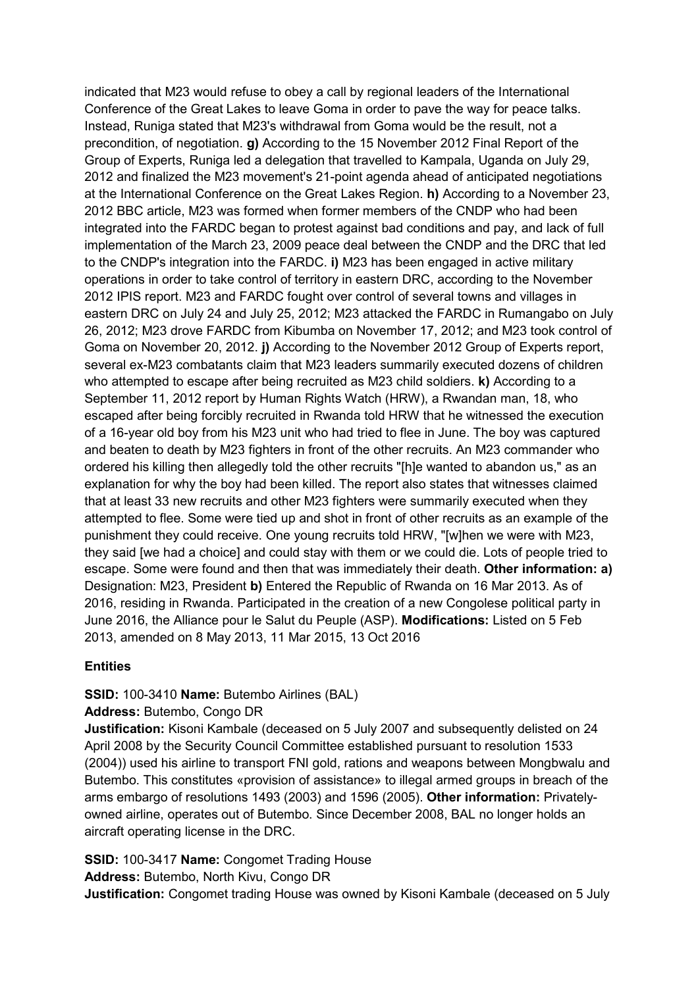indicated that M23 would refuse to obey a call by regional leaders of the International Conference of the Great Lakes to leave Goma in order to pave the way for peace talks. Instead, Runiga stated that M23's withdrawal from Goma would be the result, not a precondition, of negotiation. **g)** According to the 15 November 2012 Final Report of the Group of Experts, Runiga led a delegation that travelled to Kampala, Uganda on July 29, 2012 and finalized the M23 movement's 21-point agenda ahead of anticipated negotiations at the International Conference on the Great Lakes Region. **h)** According to a November 23, 2012 BBC article, M23 was formed when former members of the CNDP who had been integrated into the FARDC began to protest against bad conditions and pay, and lack of full implementation of the March 23, 2009 peace deal between the CNDP and the DRC that led to the CNDP's integration into the FARDC. **i)** M23 has been engaged in active military operations in order to take control of territory in eastern DRC, according to the November 2012 IPIS report. M23 and FARDC fought over control of several towns and villages in eastern DRC on July 24 and July 25, 2012; M23 attacked the FARDC in Rumangabo on July 26, 2012; M23 drove FARDC from Kibumba on November 17, 2012; and M23 took control of Goma on November 20, 2012. **j)** According to the November 2012 Group of Experts report, several ex-M23 combatants claim that M23 leaders summarily executed dozens of children who attempted to escape after being recruited as M23 child soldiers. **k)** According to a September 11, 2012 report by Human Rights Watch (HRW), a Rwandan man, 18, who escaped after being forcibly recruited in Rwanda told HRW that he witnessed the execution of a 16-year old boy from his M23 unit who had tried to flee in June. The boy was captured and beaten to death by M23 fighters in front of the other recruits. An M23 commander who ordered his killing then allegedly told the other recruits "[h]e wanted to abandon us," as an explanation for why the boy had been killed. The report also states that witnesses claimed that at least 33 new recruits and other M23 fighters were summarily executed when they attempted to flee. Some were tied up and shot in front of other recruits as an example of the punishment they could receive. One young recruits told HRW, "[w]hen we were with M23, they said [we had a choice] and could stay with them or we could die. Lots of people tried to escape. Some were found and then that was immediately their death. **Other information: a)**  Designation: M23, President **b)** Entered the Republic of Rwanda on 16 Mar 2013. As of 2016, residing in Rwanda. Participated in the creation of a new Congolese political party in June 2016, the Alliance pour le Salut du Peuple (ASP). **Modifications:** Listed on 5 Feb 2013, amended on 8 May 2013, 11 Mar 2015, 13 Oct 2016

# **Entities**

**SSID:** 100-3410 **Name:** Butembo Airlines (BAL)

**Address:** Butembo, Congo DR

**Justification:** Kisoni Kambale (deceased on 5 July 2007 and subsequently delisted on 24 April 2008 by the Security Council Committee established pursuant to resolution 1533 (2004)) used his airline to transport FNI gold, rations and weapons between Mongbwalu and Butembo. This constitutes «provision of assistance» to illegal armed groups in breach of the arms embargo of resolutions 1493 (2003) and 1596 (2005). **Other information:** Privatelyowned airline, operates out of Butembo. Since December 2008, BAL no longer holds an aircraft operating license in the DRC.

**SSID:** 100-3417 **Name:** Congomet Trading House

**Address:** Butembo, North Kivu, Congo DR

**Justification:** Congomet trading House was owned by Kisoni Kambale (deceased on 5 July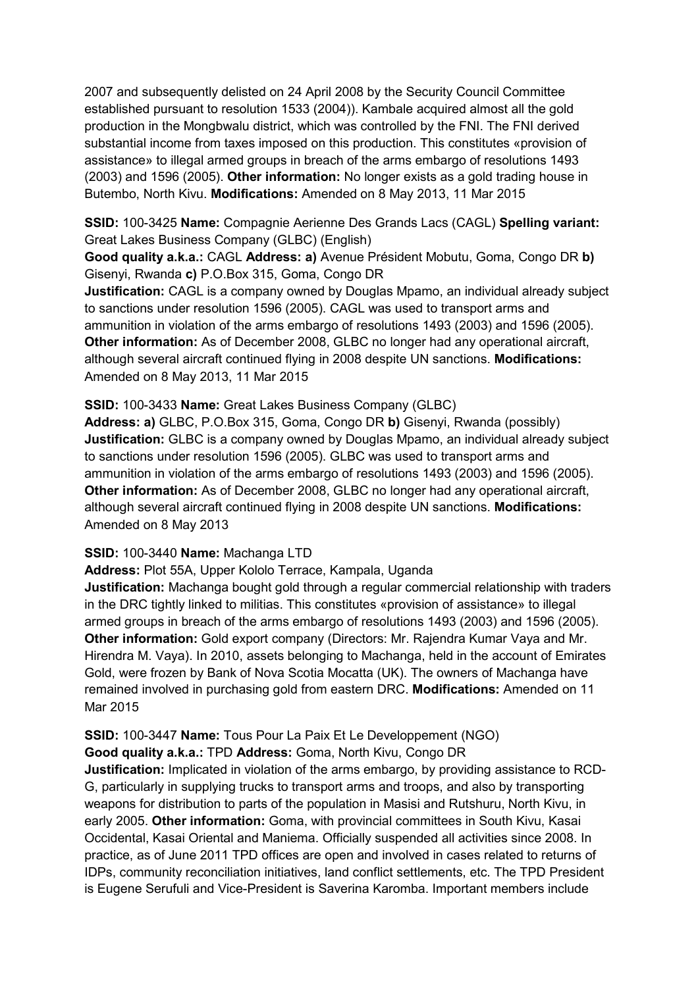2007 and subsequently delisted on 24 April 2008 by the Security Council Committee established pursuant to resolution 1533 (2004)). Kambale acquired almost all the gold production in the Mongbwalu district, which was controlled by the FNI. The FNI derived substantial income from taxes imposed on this production. This constitutes «provision of assistance» to illegal armed groups in breach of the arms embargo of resolutions 1493 (2003) and 1596 (2005). **Other information:** No longer exists as a gold trading house in Butembo, North Kivu. **Modifications:** Amended on 8 May 2013, 11 Mar 2015

**SSID:** 100-3425 **Name:** Compagnie Aerienne Des Grands Lacs (CAGL) **Spelling variant:**  Great Lakes Business Company (GLBC) (English)

**Good quality a.k.a.:** CAGL **Address: a)** Avenue Président Mobutu, Goma, Congo DR **b)**  Gisenyi, Rwanda **c)** P.O.Box 315, Goma, Congo DR

**Justification:** CAGL is a company owned by Douglas Mpamo, an individual already subject to sanctions under resolution 1596 (2005). CAGL was used to transport arms and ammunition in violation of the arms embargo of resolutions 1493 (2003) and 1596 (2005). **Other information:** As of December 2008, GLBC no longer had any operational aircraft, although several aircraft continued flying in 2008 despite UN sanctions. **Modifications:**  Amended on 8 May 2013, 11 Mar 2015

#### **SSID:** 100-3433 **Name:** Great Lakes Business Company (GLBC)

**Address: a)** GLBC, P.O.Box 315, Goma, Congo DR **b)** Gisenyi, Rwanda (possibly) **Justification:** GLBC is a company owned by Douglas Mpamo, an individual already subject to sanctions under resolution 1596 (2005). GLBC was used to transport arms and ammunition in violation of the arms embargo of resolutions 1493 (2003) and 1596 (2005). **Other information:** As of December 2008, GLBC no longer had any operational aircraft, although several aircraft continued flying in 2008 despite UN sanctions. **Modifications:**  Amended on 8 May 2013

#### **SSID:** 100-3440 **Name:** Machanga LTD

**Address:** Plot 55A, Upper Kololo Terrace, Kampala, Uganda

**Justification:** Machanga bought gold through a regular commercial relationship with traders in the DRC tightly linked to militias. This constitutes «provision of assistance» to illegal armed groups in breach of the arms embargo of resolutions 1493 (2003) and 1596 (2005). **Other information:** Gold export company (Directors: Mr. Rajendra Kumar Vaya and Mr. Hirendra M. Vaya). In 2010, assets belonging to Machanga, held in the account of Emirates Gold, were frozen by Bank of Nova Scotia Mocatta (UK). The owners of Machanga have remained involved in purchasing gold from eastern DRC. **Modifications:** Amended on 11 Mar 2015

#### **SSID:** 100-3447 **Name:** Tous Pour La Paix Et Le Developpement (NGO) **Good quality a.k.a.:** TPD **Address:** Goma, North Kivu, Congo DR

**Justification:** Implicated in violation of the arms embargo, by providing assistance to RCD-G, particularly in supplying trucks to transport arms and troops, and also by transporting weapons for distribution to parts of the population in Masisi and Rutshuru, North Kivu, in early 2005. **Other information:** Goma, with provincial committees in South Kivu, Kasai Occidental, Kasai Oriental and Maniema. Officially suspended all activities since 2008. In practice, as of June 2011 TPD offices are open and involved in cases related to returns of IDPs, community reconciliation initiatives, land conflict settlements, etc. The TPD President is Eugene Serufuli and Vice-President is Saverina Karomba. Important members include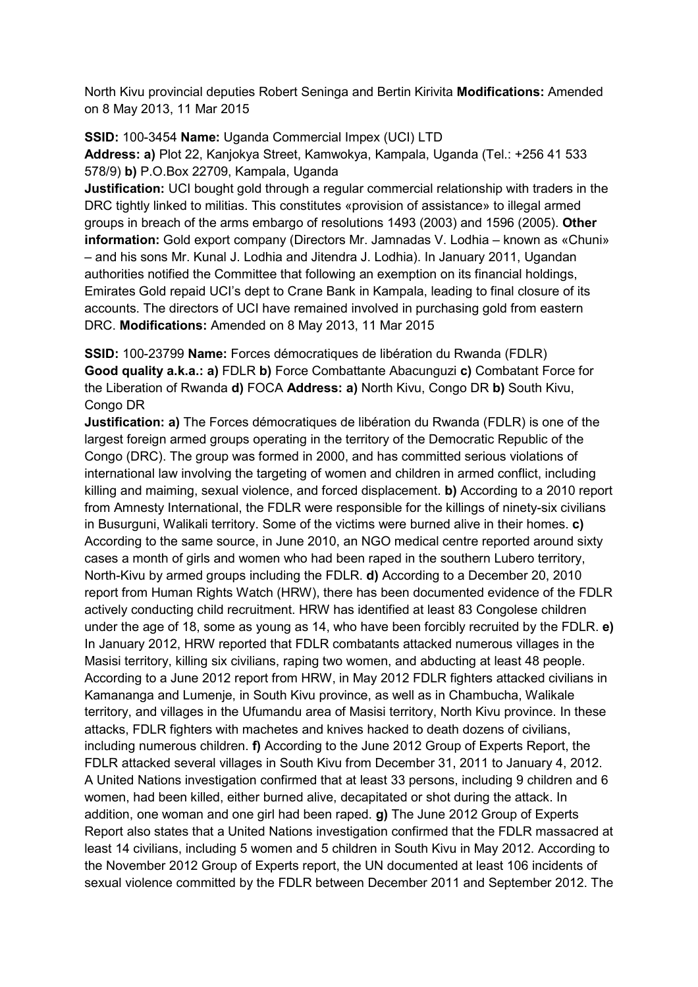North Kivu provincial deputies Robert Seninga and Bertin Kirivita **Modifications:** Amended on 8 May 2013, 11 Mar 2015

**SSID:** 100-3454 **Name:** Uganda Commercial Impex (UCI) LTD **Address: a)** Plot 22, Kanjokya Street, Kamwokya, Kampala, Uganda (Tel.: +256 41 533 578/9) **b)** P.O.Box 22709, Kampala, Uganda

**Justification:** UCI bought gold through a regular commercial relationship with traders in the DRC tightly linked to militias. This constitutes «provision of assistance» to illegal armed groups in breach of the arms embargo of resolutions 1493 (2003) and 1596 (2005). **Other information:** Gold export company (Directors Mr. Jamnadas V. Lodhia – known as «Chuni» – and his sons Mr. Kunal J. Lodhia and Jitendra J. Lodhia). In January 2011, Ugandan authorities notified the Committee that following an exemption on its financial holdings, Emirates Gold repaid UCI's dept to Crane Bank in Kampala, leading to final closure of its accounts. The directors of UCI have remained involved in purchasing gold from eastern DRC. **Modifications:** Amended on 8 May 2013, 11 Mar 2015

**SSID:** 100-23799 **Name:** Forces démocratiques de libération du Rwanda (FDLR) **Good quality a.k.a.: a)** FDLR **b)** Force Combattante Abacunguzi **c)** Combatant Force for the Liberation of Rwanda **d)** FOCA **Address: a)** North Kivu, Congo DR **b)** South Kivu, Congo DR

**Justification: a)** The Forces démocratiques de libération du Rwanda (FDLR) is one of the largest foreign armed groups operating in the territory of the Democratic Republic of the Congo (DRC). The group was formed in 2000, and has committed serious violations of international law involving the targeting of women and children in armed conflict, including killing and maiming, sexual violence, and forced displacement. **b)** According to a 2010 report from Amnesty International, the FDLR were responsible for the killings of ninety-six civilians in Busurguni, Walikali territory. Some of the victims were burned alive in their homes. **c)**  According to the same source, in June 2010, an NGO medical centre reported around sixty cases a month of girls and women who had been raped in the southern Lubero territory, North-Kivu by armed groups including the FDLR. **d)** According to a December 20, 2010 report from Human Rights Watch (HRW), there has been documented evidence of the FDLR actively conducting child recruitment. HRW has identified at least 83 Congolese children under the age of 18, some as young as 14, who have been forcibly recruited by the FDLR. **e)**  In January 2012, HRW reported that FDLR combatants attacked numerous villages in the Masisi territory, killing six civilians, raping two women, and abducting at least 48 people. According to a June 2012 report from HRW, in May 2012 FDLR fighters attacked civilians in Kamananga and Lumenje, in South Kivu province, as well as in Chambucha, Walikale territory, and villages in the Ufumandu area of Masisi territory, North Kivu province. In these attacks, FDLR fighters with machetes and knives hacked to death dozens of civilians, including numerous children. **f)** According to the June 2012 Group of Experts Report, the FDLR attacked several villages in South Kivu from December 31, 2011 to January 4, 2012. A United Nations investigation confirmed that at least 33 persons, including 9 children and 6 women, had been killed, either burned alive, decapitated or shot during the attack. In addition, one woman and one girl had been raped. **g)** The June 2012 Group of Experts Report also states that a United Nations investigation confirmed that the FDLR massacred at least 14 civilians, including 5 women and 5 children in South Kivu in May 2012. According to the November 2012 Group of Experts report, the UN documented at least 106 incidents of sexual violence committed by the FDLR between December 2011 and September 2012. The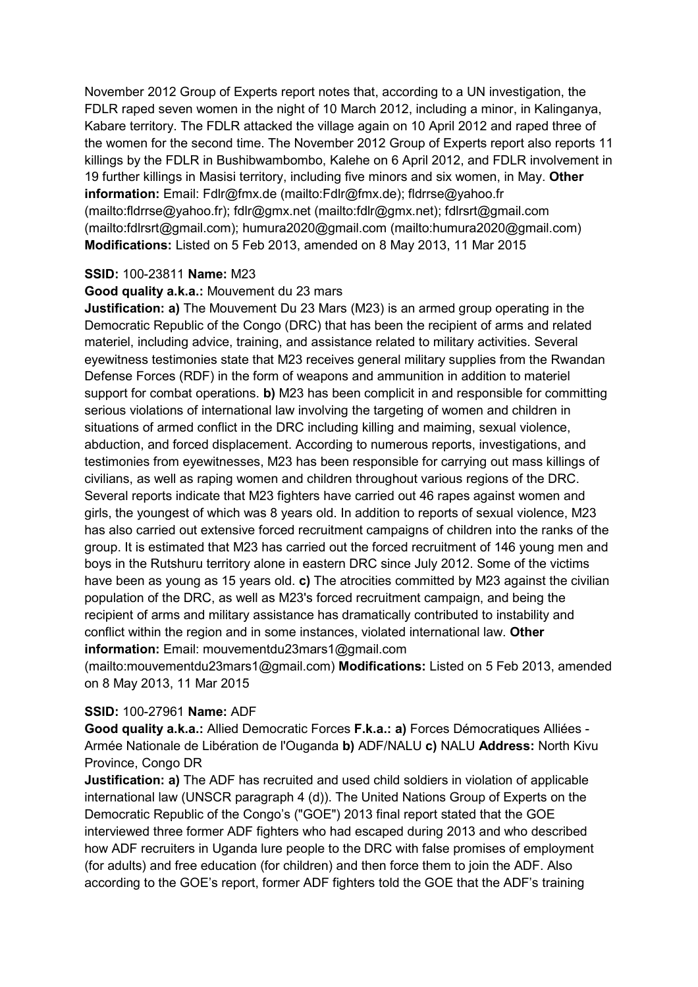November 2012 Group of Experts report notes that, according to a UN investigation, the FDLR raped seven women in the night of 10 March 2012, including a minor, in Kalinganya, Kabare territory. The FDLR attacked the village again on 10 April 2012 and raped three of the women for the second time. The November 2012 Group of Experts report also reports 11 killings by the FDLR in Bushibwambombo, Kalehe on 6 April 2012, and FDLR involvement in 19 further killings in Masisi territory, including five minors and six women, in May. **Other information:** Email: Fdlr@fmx.de (mailto:Fdlr@fmx.de); fldrrse@yahoo.fr (mailto:fldrrse@yahoo.fr); fdlr@gmx.net (mailto:fdlr@gmx.net); fdlrsrt@gmail.com (mailto:fdlrsrt@gmail.com); humura2020@gmail.com (mailto:humura2020@gmail.com) **Modifications:** Listed on 5 Feb 2013, amended on 8 May 2013, 11 Mar 2015

## **SSID:** 100-23811 **Name:** M23

#### **Good quality a.k.a.:** Mouvement du 23 mars

**Justification: a)** The Mouvement Du 23 Mars (M23) is an armed group operating in the Democratic Republic of the Congo (DRC) that has been the recipient of arms and related materiel, including advice, training, and assistance related to military activities. Several eyewitness testimonies state that M23 receives general military supplies from the Rwandan Defense Forces (RDF) in the form of weapons and ammunition in addition to materiel support for combat operations. **b)** M23 has been complicit in and responsible for committing serious violations of international law involving the targeting of women and children in situations of armed conflict in the DRC including killing and maiming, sexual violence, abduction, and forced displacement. According to numerous reports, investigations, and testimonies from eyewitnesses, M23 has been responsible for carrying out mass killings of civilians, as well as raping women and children throughout various regions of the DRC. Several reports indicate that M23 fighters have carried out 46 rapes against women and girls, the youngest of which was 8 years old. In addition to reports of sexual violence, M23 has also carried out extensive forced recruitment campaigns of children into the ranks of the group. It is estimated that M23 has carried out the forced recruitment of 146 young men and boys in the Rutshuru territory alone in eastern DRC since July 2012. Some of the victims have been as young as 15 years old. **c)** The atrocities committed by M23 against the civilian population of the DRC, as well as M23's forced recruitment campaign, and being the recipient of arms and military assistance has dramatically contributed to instability and conflict within the region and in some instances, violated international law. **Other information:** Email: mouvementdu23mars1@gmail.com

(mailto:mouvementdu23mars1@gmail.com) **Modifications:** Listed on 5 Feb 2013, amended on 8 May 2013, 11 Mar 2015

#### **SSID:** 100-27961 **Name:** ADF

**Good quality a.k.a.:** Allied Democratic Forces **F.k.a.: a)** Forces Démocratiques Alliées - Armée Nationale de Libération de l'Ouganda **b)** ADF/NALU **c)** NALU **Address:** North Kivu Province, Congo DR

**Justification: a)** The ADF has recruited and used child soldiers in violation of applicable international law (UNSCR paragraph 4 (d)). The United Nations Group of Experts on the Democratic Republic of the Congo's ("GOE") 2013 final report stated that the GOE interviewed three former ADF fighters who had escaped during 2013 and who described how ADF recruiters in Uganda lure people to the DRC with false promises of employment (for adults) and free education (for children) and then force them to join the ADF. Also according to the GOE's report, former ADF fighters told the GOE that the ADF's training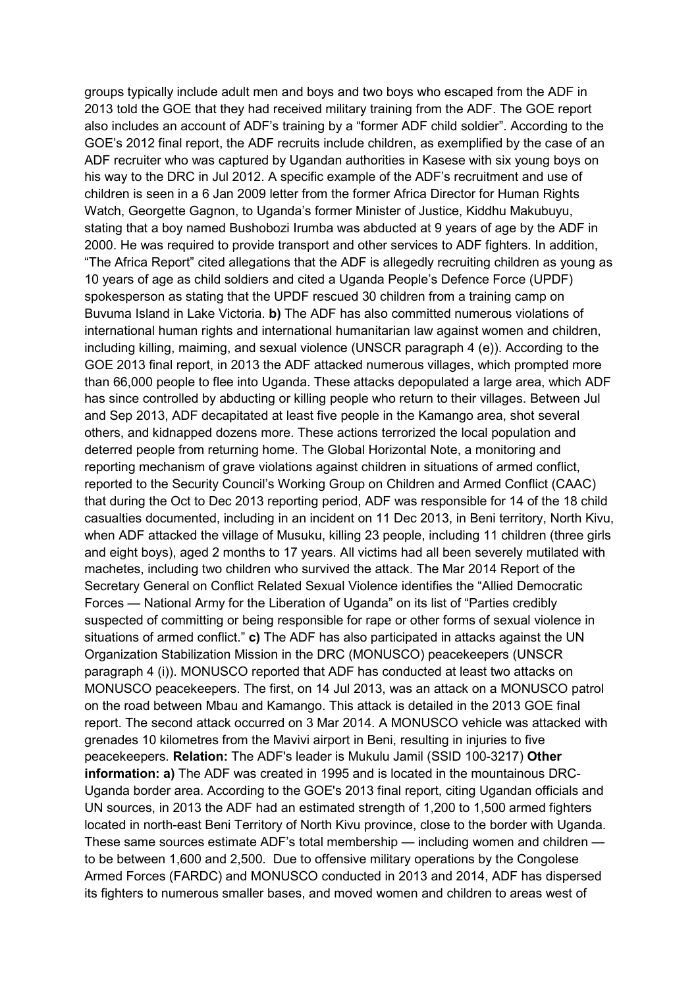groups typically include adult men and boys and two boys who escaped from the ADF in 2013 told the GOE that they had received military training from the ADF. The GOE report also includes an account of ADF's training by a "former ADF child soldier". According to the GOE's 2012 final report, the ADF recruits include children, as exemplified by the case of an ADF recruiter who was captured by Ugandan authorities in Kasese with six young boys on his way to the DRC in Jul 2012. A specific example of the ADF's recruitment and use of children is seen in a 6 Jan 2009 letter from the former Africa Director for Human Rights Watch, Georgette Gagnon, to Uganda's former Minister of Justice, Kiddhu Makubuyu, stating that a boy named Bushobozi Irumba was abducted at 9 years of age by the ADF in 2000. He was required to provide transport and other services to ADF fighters. In addition, "The Africa Report" cited allegations that the ADF is allegedly recruiting children as young as 10 years of age as child soldiers and cited a Uganda People's Defence Force (UPDF) spokesperson as stating that the UPDF rescued 30 children from a training camp on Buvuma Island in Lake Victoria. **b)** The ADF has also committed numerous violations of international human rights and international humanitarian law against women and children, including killing, maiming, and sexual violence (UNSCR paragraph 4 (e)). According to the GOE 2013 final report, in 2013 the ADF attacked numerous villages, which prompted more than 66,000 people to flee into Uganda. These attacks depopulated a large area, which ADF has since controlled by abducting or killing people who return to their villages. Between Jul and Sep 2013, ADF decapitated at least five people in the Kamango area, shot several others, and kidnapped dozens more. These actions terrorized the local population and deterred people from returning home. The Global Horizontal Note, a monitoring and reporting mechanism of grave violations against children in situations of armed conflict, reported to the Security Council's Working Group on Children and Armed Conflict (CAAC) that during the Oct to Dec 2013 reporting period, ADF was responsible for 14 of the 18 child casualties documented, including in an incident on 11 Dec 2013, in Beni territory, North Kivu, when ADF attacked the village of Musuku, killing 23 people, including 11 children (three girls and eight boys), aged 2 months to 17 years. All victims had all been severely mutilated with machetes, including two children who survived the attack. The Mar 2014 Report of the Secretary General on Conflict Related Sexual Violence identifies the "Allied Democratic Forces — National Army for the Liberation of Uganda" on its list of "Parties credibly suspected of committing or being responsible for rape or other forms of sexual violence in situations of armed conflict." **c)** The ADF has also participated in attacks against the UN Organization Stabilization Mission in the DRC (MONUSCO) peacekeepers (UNSCR paragraph 4 (i)). MONUSCO reported that ADF has conducted at least two attacks on MONUSCO peacekeepers. The first, on 14 Jul 2013, was an attack on a MONUSCO patrol on the road between Mbau and Kamango. This attack is detailed in the 2013 GOE final report. The second attack occurred on 3 Mar 2014. A MONUSCO vehicle was attacked with grenades 10 kilometres from the Mavivi airport in Beni, resulting in injuries to five peacekeepers. **Relation:** The ADF's leader is Mukulu Jamil (SSID 100-3217) **Other information: a)** The ADF was created in 1995 and is located in the mountainous DRC-Uganda border area. According to the GOE's 2013 final report, citing Ugandan officials and UN sources, in 2013 the ADF had an estimated strength of 1,200 to 1,500 armed fighters located in north-east Beni Territory of North Kivu province, close to the border with Uganda. These same sources estimate ADF's total membership — including women and children to be between 1,600 and 2,500. Due to offensive military operations by the Congolese Armed Forces (FARDC) and MONUSCO conducted in 2013 and 2014, ADF has dispersed its fighters to numerous smaller bases, and moved women and children to areas west of